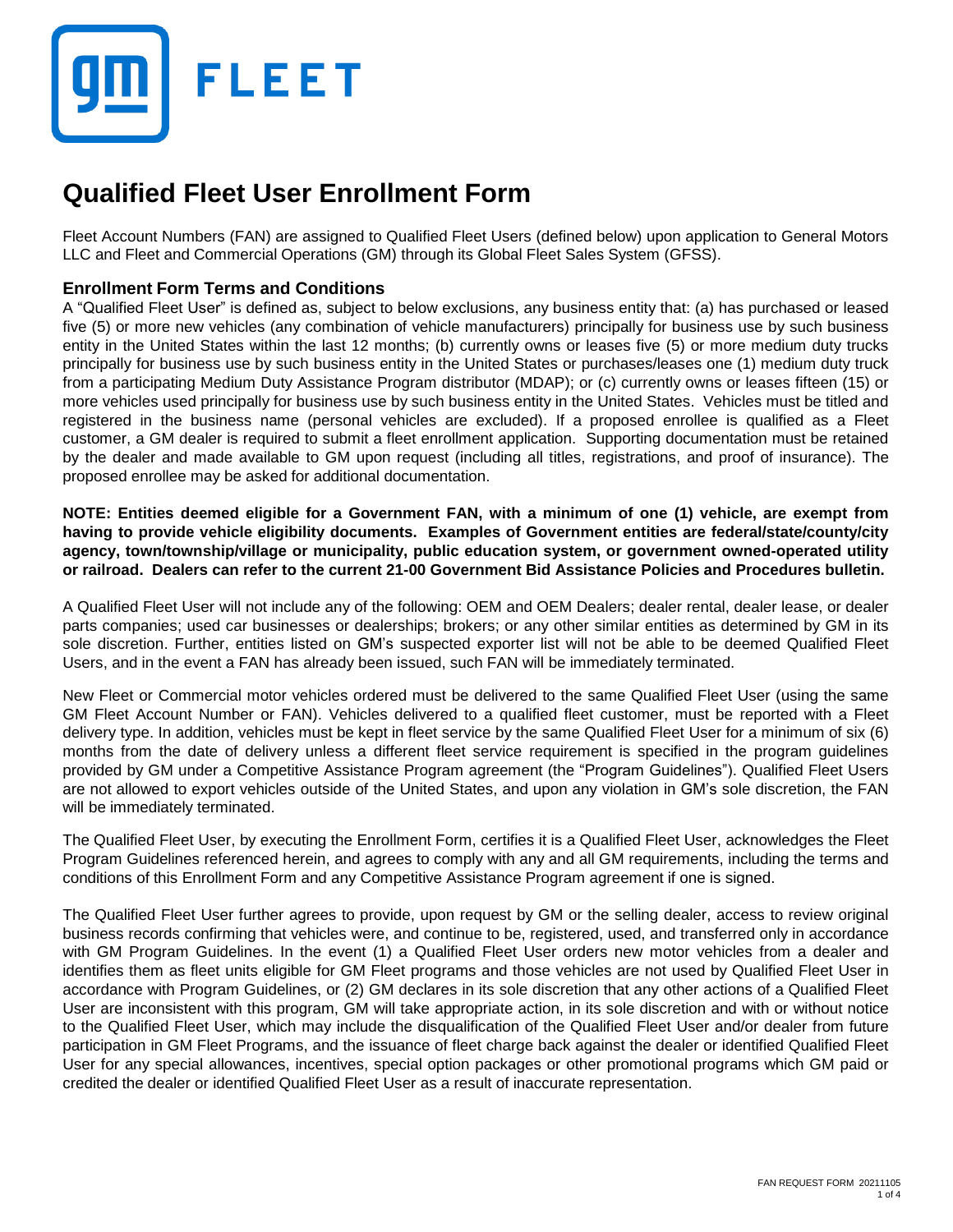

# **Qualified Fleet User Enrollment Form**

Fleet Account Numbers (FAN) are assigned to Qualified Fleet Users (defined below) upon application to General Motors LLC and Fleet and Commercial Operations (GM) through its Global Fleet Sales System (GFSS).

#### **Enrollment Form Terms and Conditions**

A "Qualified Fleet User" is defined as, subject to below exclusions, any business entity that: (a) has purchased or leased five (5) or more new vehicles (any combination of vehicle manufacturers) principally for business use by such business entity in the United States within the last 12 months; (b) currently owns or leases five (5) or more medium duty trucks principally for business use by such business entity in the United States or purchases/leases one (1) medium duty truck from a participating Medium Duty Assistance Program distributor (MDAP); or (c) currently owns or leases fifteen (15) or more vehicles used principally for business use by such business entity in the United States. Vehicles must be titled and registered in the business name (personal vehicles are excluded). If a proposed enrollee is qualified as a Fleet customer, a GM dealer is required to submit a fleet enrollment application. Supporting documentation must be retained by the dealer and made available to GM upon request (including all titles, registrations, and proof of insurance). The proposed enrollee may be asked for additional documentation.

NOTE: Entities deemed eligible for a Government FAN, with a minimum of one (1) vehicle, are exempt from **having to provide vehicle eligibility documents. Examples of Government entities are federal/state/county/city agency, town/township/village or municipality, public education system, or government owned-operated utility or railroad. Dealers can refer to the current 21-00 Government Bid Assistance Policies and Procedures bulletin.**

A Qualified Fleet User will not include any of the following: OEM and OEM Dealers; dealer rental, dealer lease, or dealer parts companies; used car businesses or dealerships; brokers; or any other similar entities as determined by GM in its sole discretion. Further, entities listed on GM's suspected exporter list will not be able to be deemed Qualified Fleet Users, and in the event a FAN has already been issued, such FAN will be immediately terminated.

New Fleet or Commercial motor vehicles ordered must be delivered to the same Qualified Fleet User (using the same GM Fleet Account Number or FAN). Vehicles delivered to a qualified fleet customer, must be reported with a Fleet delivery type. In addition, vehicles must be kept in fleet service by the same Qualified Fleet User for a minimum of six (6) months from the date of delivery unless a different fleet service requirement is specified in the program guidelines provided by GM under a Competitive Assistance Program agreement (the "Program Guidelines"). Qualified Fleet Users are not allowed to export vehicles outside of the United States, and upon any violation in GM's sole discretion, the FAN will be immediately terminated.

The Qualified Fleet User, by executing the Enrollment Form, certifies it is a Qualified Fleet User, acknowledges the Fleet Program Guidelines referenced herein, and agrees to comply with any and all GM requirements, including the terms and conditions of this Enrollment Form and any Competitive Assistance Program agreement if one is signed.

The Qualified Fleet User further agrees to provide, upon request by GM or the selling dealer, access to review original business records confirming that vehicles were, and continue to be, registered, used, and transferred only in accordance with GM Program Guidelines. In the event (1) a Qualified Fleet User orders new motor vehicles from a dealer and identifies them as fleet units eligible for GM Fleet programs and those vehicles are not used by Qualified Fleet User in accordance with Program Guidelines, or (2) GM declares in its sole discretion that any other actions of a Qualified Fleet User are inconsistent with this program, GM will take appropriate action, in its sole discretion and with or without notice to the Qualified Fleet User, which may include the disqualification of the Qualified Fleet User and/or dealer from future participation in GM Fleet Programs, and the issuance of fleet charge back against the dealer or identified Qualified Fleet User for any special allowances, incentives, special option packages or other promotional programs which GM paid or credited the dealer or identified Qualified Fleet User as a result of inaccurate representation.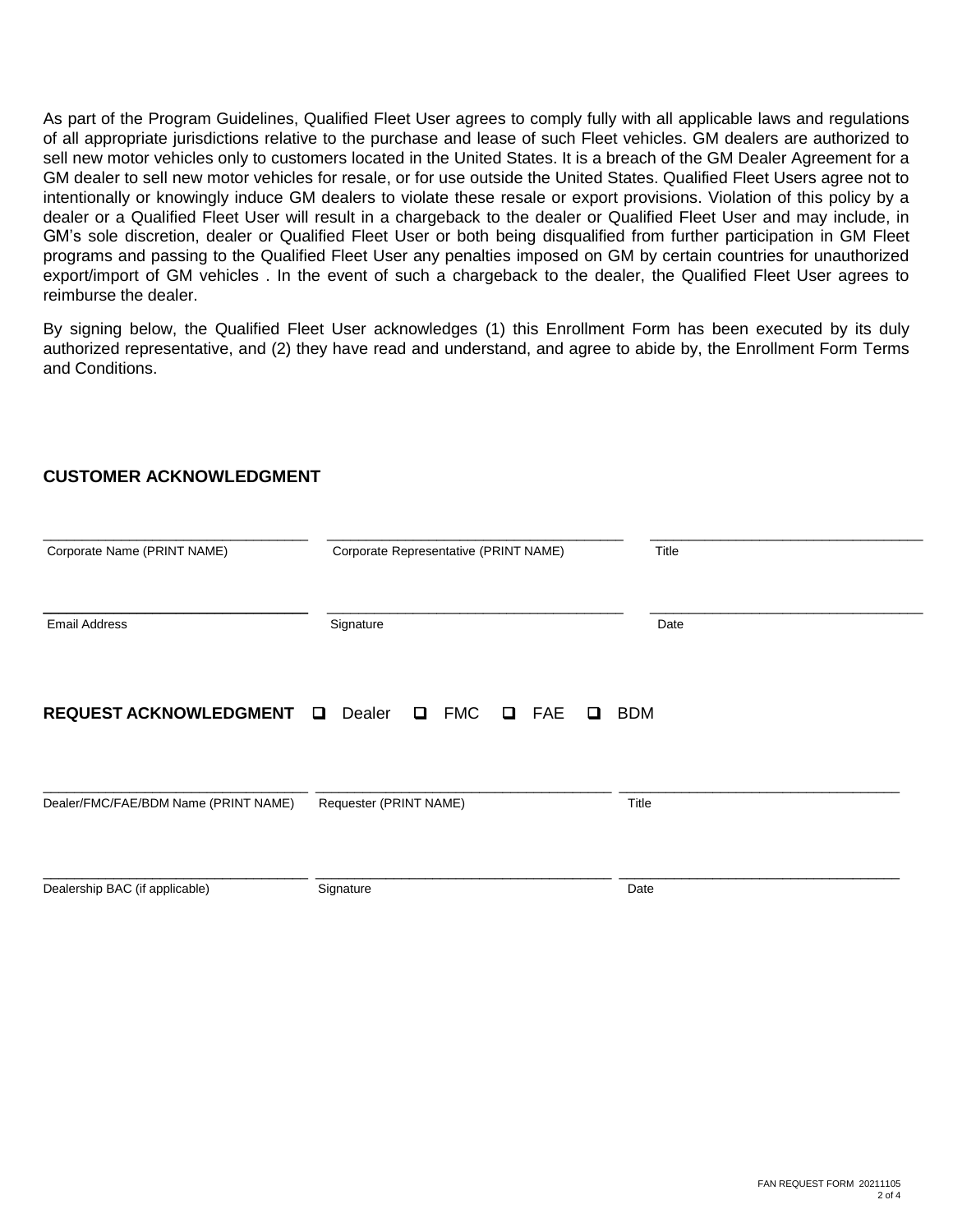As part of the Program Guidelines, Qualified Fleet User agrees to comply fully with all applicable laws and regulations of all appropriate jurisdictions relative to the purchase and lease of such Fleet vehicles. GM dealers are authorized to sell new motor vehicles only to customers located in the United States. It is a breach of the GM Dealer Agreement for a GM dealer to sell new motor vehicles for resale, or for use outside the United States. Qualified Fleet Users agree not to intentionally or knowingly induce GM dealers to violate these resale or export provisions. Violation of this policy by a dealer or a Qualified Fleet User will result in a chargeback to the dealer or Qualified Fleet User and may include, in GM's sole discretion, dealer or Qualified Fleet User or both being disqualified from further participation in GM Fleet programs and passing to the Qualified Fleet User any penalties imposed on GM by certain countries for unauthorized export/import of GM vehicles . In the event of such a chargeback to the dealer, the Qualified Fleet User agrees to reimburse the dealer.

By signing below, the Qualified Fleet User acknowledges (1) this Enrollment Form has been executed by its duly authorized representative, and (2) they have read and understand, and agree to abide by, the Enrollment Form Terms and Conditions.

# **REQUEST ACKNOWLEDGMENT Q** Dealer **Q** FMC **Q** FAE **Q** BDM \_\_\_\_\_\_\_\_\_\_\_\_\_\_\_\_\_\_\_\_\_\_\_\_\_\_\_\_\_\_\_\_\_\_ \_\_\_\_\_\_\_\_\_\_\_\_\_\_\_\_\_\_\_\_\_\_\_\_\_\_\_\_\_\_\_\_\_\_\_\_\_\_ \_\_\_\_\_\_\_\_\_\_\_\_\_\_\_\_\_\_\_\_\_\_\_\_\_\_\_\_\_\_\_\_\_\_\_ Corporate Name (PRINT NAME) Corporate Representative (PRINT NAME) Title \_\_\_\_\_\_\_\_\_\_\_\_\_\_\_\_\_\_\_\_\_\_\_\_\_\_\_\_\_\_\_\_\_\_ \_\_\_\_\_\_\_\_\_\_\_\_\_\_\_\_\_\_\_\_\_\_\_\_\_\_\_\_\_\_\_\_\_\_\_\_\_\_ \_\_\_\_\_\_\_\_\_\_\_\_\_\_\_\_\_\_\_\_\_\_\_\_\_\_\_\_\_\_\_\_\_\_\_ Email Address **Signature Signature Signature Constant Constant Constant Constant Constant Constant Constant Date** \_\_\_\_\_\_\_\_\_\_\_\_\_\_\_\_\_\_\_\_\_\_\_\_\_\_\_\_\_\_\_\_\_\_ \_\_\_\_\_\_\_\_\_\_\_\_\_\_\_\_\_\_\_\_\_\_\_\_\_\_\_\_\_\_\_\_\_\_\_\_\_\_ \_\_\_\_\_\_\_\_\_\_\_\_\_\_\_\_\_\_\_\_\_\_\_\_\_\_\_\_\_\_\_\_\_\_\_\_ Dealer/FMC/FAE/BDM Name (PRINT NAME) Requester (PRINT NAME) Title \_\_\_\_\_\_\_\_\_\_\_\_\_\_\_\_\_\_\_\_\_\_\_\_\_\_\_\_\_\_\_\_\_\_ \_\_\_\_\_\_\_\_\_\_\_\_\_\_\_\_\_\_\_\_\_\_\_\_\_\_\_\_\_\_\_\_\_\_\_\_\_\_ \_\_\_\_\_\_\_\_\_\_\_\_\_\_\_\_\_\_\_\_\_\_\_\_\_\_\_\_\_\_\_\_\_\_\_\_ Dealership BAC (if applicable) Signature Signature Date

#### **CUSTOMER ACKNOWLEDGMENT**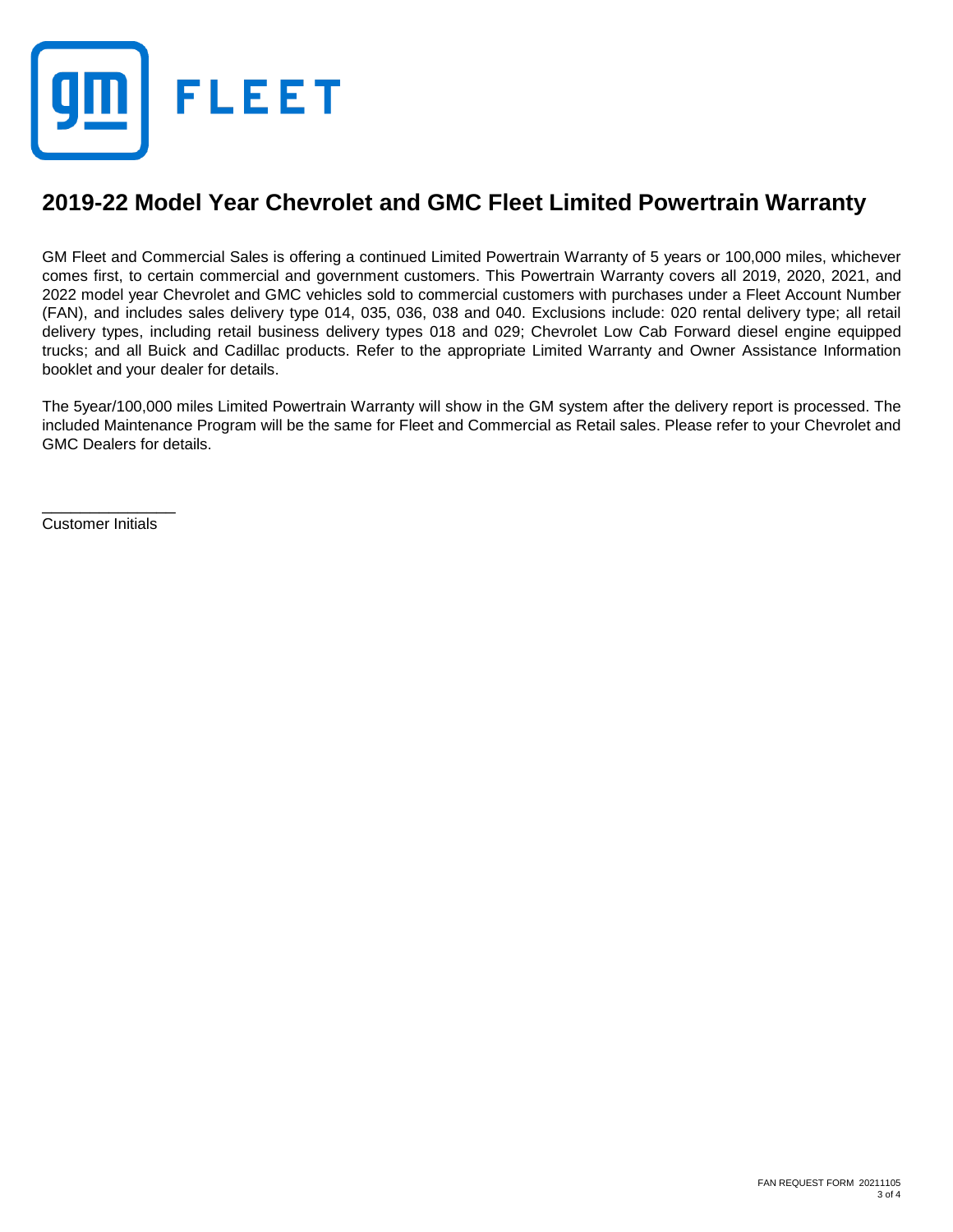

### **2019-22 Model Year Chevrolet and GMC Fleet Limited Powertrain Warranty**

GM Fleet and Commercial Sales is offering a continued Limited Powertrain Warranty of 5 years or 100,000 miles, whichever comes first, to certain commercial and government customers. This Powertrain Warranty covers all 2019, 2020, 2021, and 2022 model year Chevrolet and GMC vehicles sold to commercial customers with purchases under a Fleet Account Number (FAN), and includes sales delivery type 014, 035, 036, 038 and 040. Exclusions include: 020 rental delivery type; all retail delivery types, including retail business delivery types 018 and 029; Chevrolet Low Cab Forward diesel engine equipped trucks; and all Buick and Cadillac products. Refer to the appropriate Limited Warranty and Owner Assistance Information booklet and your dealer for details.

The 5year/100,000 miles Limited Powertrain Warranty will show in the GM system after the delivery report is processed. The included Maintenance Program will be the same for Fleet and Commercial as Retail sales. Please refer to your Chevrolet and GMC Dealers for details.

\_\_\_\_\_\_\_\_\_\_\_\_\_\_ Customer Initials